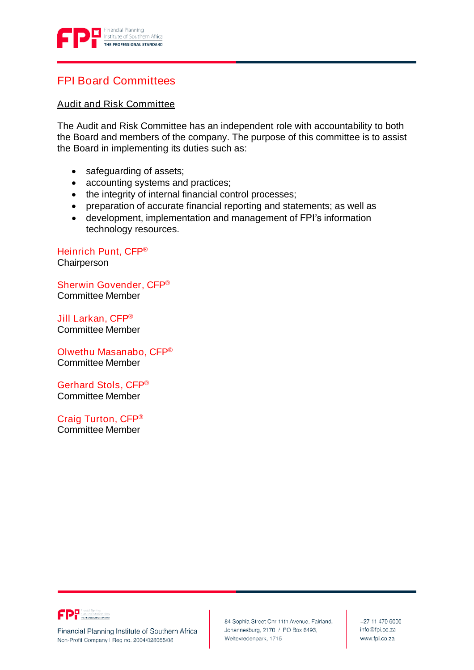

# FPI Board Committees

## Audit and Risk Committee

The Audit and Risk Committee has an independent role with accountability to both the Board and members of the company. The purpose of this committee is to assist the Board in implementing its duties such as:

- safeguarding of assets;
- accounting systems and practices;
- the integrity of internal financial control processes;
- preparation of accurate financial reporting and statements; as well as
- development, implementation and management of FPI's information technology resources.

Heinrich Punt, CFP® **Chairperson** 

Sherwin Govender, CFP® Committee Member

Jill Larkan, CFP® Committee Member

Olwethu Masanabo, CFP® Committee Member

Gerhard Stols, CFP® Committee Member

Craig Turton, CFP® Committee Member



Financial Planning Institute of Southern Africa Non-Profit Company I Reg no. 2004/028055/08

84 Sophia Street Cnr 11th Avenue, Fairland, Johannesburg, 2170 / PO Box 6493, Weltevredenpark, 1715

+27 11 470 6000 info@fpi.co.za www.fpi.co.za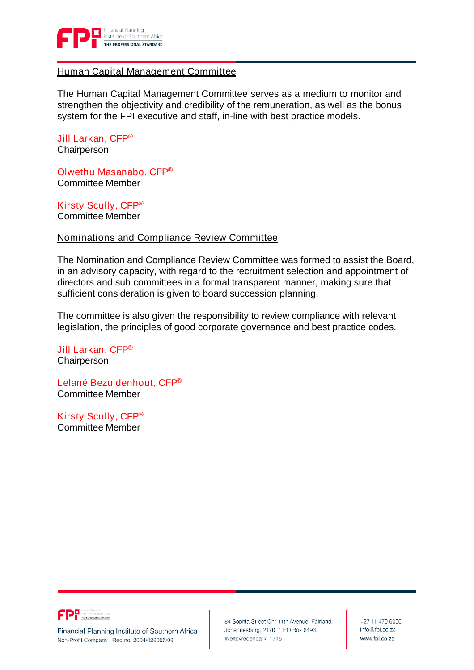

#### Human Capital Management Committee

The Human Capital Management Committee serves as a medium to monitor and strengthen the objectivity and credibility of the remuneration, as well as the bonus system for the FPI executive and staff, in-line with best practice models.

Jill Larkan, CFP® **Chairperson** 

Olwethu Masanabo, CFP® Committee Member

Kirsty Scully, CFP® Committee Member

#### Nominations and Compliance Review Committee

The Nomination and Compliance Review Committee was formed to assist the Board, in an advisory capacity, with regard to the recruitment selection and appointment of directors and sub committees in a formal transparent manner, making sure that sufficient consideration is given to board succession planning.

The committee is also given the responsibility to review compliance with relevant legislation, the principles of good corporate governance and best practice codes.

Jill Larkan, CFP® **Chairperson** 

Lelané Bezuidenhout, CFP® Committee Member

Kirsty Scully, CFP® Committee Member



Financial Planning Institute of Southern Africa Non-Profit Company I Reg no. 2004/028055/08

84 Sophia Street Cnr 11th Avenue, Fairland, Johannesburg, 2170 / PO Box 6493, Weltevredenpark, 1715

+27 11 470 6000 info@fpi.co.za www.fpi.co.za